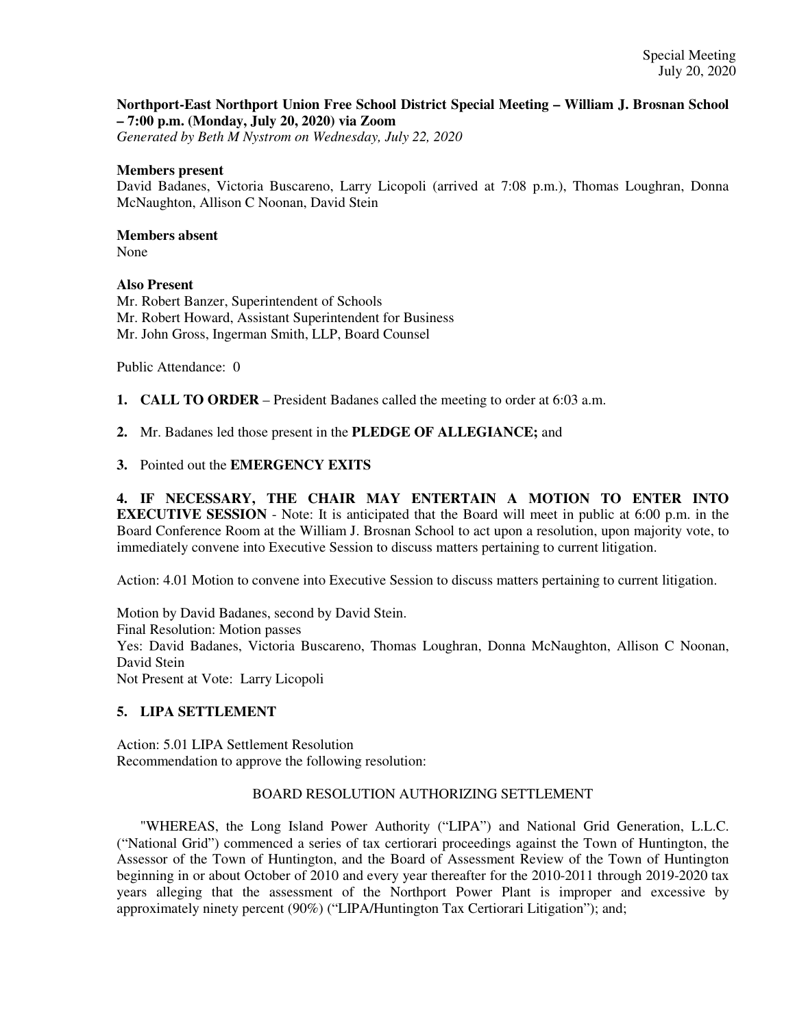## **Northport-East Northport Union Free School District Special Meeting – William J. Brosnan School – 7:00 p.m. (Monday, July 20, 2020) via Zoom**

*Generated by Beth M Nystrom on Wednesday, July 22, 2020*

#### **Members present**

David Badanes, Victoria Buscareno, Larry Licopoli (arrived at 7:08 p.m.), Thomas Loughran, Donna McNaughton, Allison C Noonan, David Stein

## **Members absent**

None

## **Also Present**

Mr. Robert Banzer, Superintendent of Schools Mr. Robert Howard, Assistant Superintendent for Business Mr. John Gross, Ingerman Smith, LLP, Board Counsel

Public Attendance: 0

- **1. CALL TO ORDER** President Badanes called the meeting to order at 6:03 a.m.
- **2.** Mr. Badanes led those present in the **PLEDGE OF ALLEGIANCE;** and
- **3.** Pointed out the **EMERGENCY EXITS**

**4. IF NECESSARY, THE CHAIR MAY ENTERTAIN A MOTION TO ENTER INTO EXECUTIVE SESSION** - Note: It is anticipated that the Board will meet in public at 6:00 p.m. in the Board Conference Room at the William J. Brosnan School to act upon a resolution, upon majority vote, to immediately convene into Executive Session to discuss matters pertaining to current litigation.

Action: 4.01 Motion to convene into Executive Session to discuss matters pertaining to current litigation.

Motion by David Badanes, second by David Stein. Final Resolution: Motion passes Yes: David Badanes, Victoria Buscareno, Thomas Loughran, Donna McNaughton, Allison C Noonan, David Stein Not Present at Vote: Larry Licopoli

# **5. LIPA SETTLEMENT**

Action: 5.01 LIPA Settlement Resolution Recommendation to approve the following resolution:

#### BOARD RESOLUTION AUTHORIZING SETTLEMENT

"WHEREAS, the Long Island Power Authority ("LIPA") and National Grid Generation, L.L.C. ("National Grid") commenced a series of tax certiorari proceedings against the Town of Huntington, the Assessor of the Town of Huntington, and the Board of Assessment Review of the Town of Huntington beginning in or about October of 2010 and every year thereafter for the 2010-2011 through 2019-2020 tax years alleging that the assessment of the Northport Power Plant is improper and excessive by approximately ninety percent (90%) ("LIPA/Huntington Tax Certiorari Litigation"); and;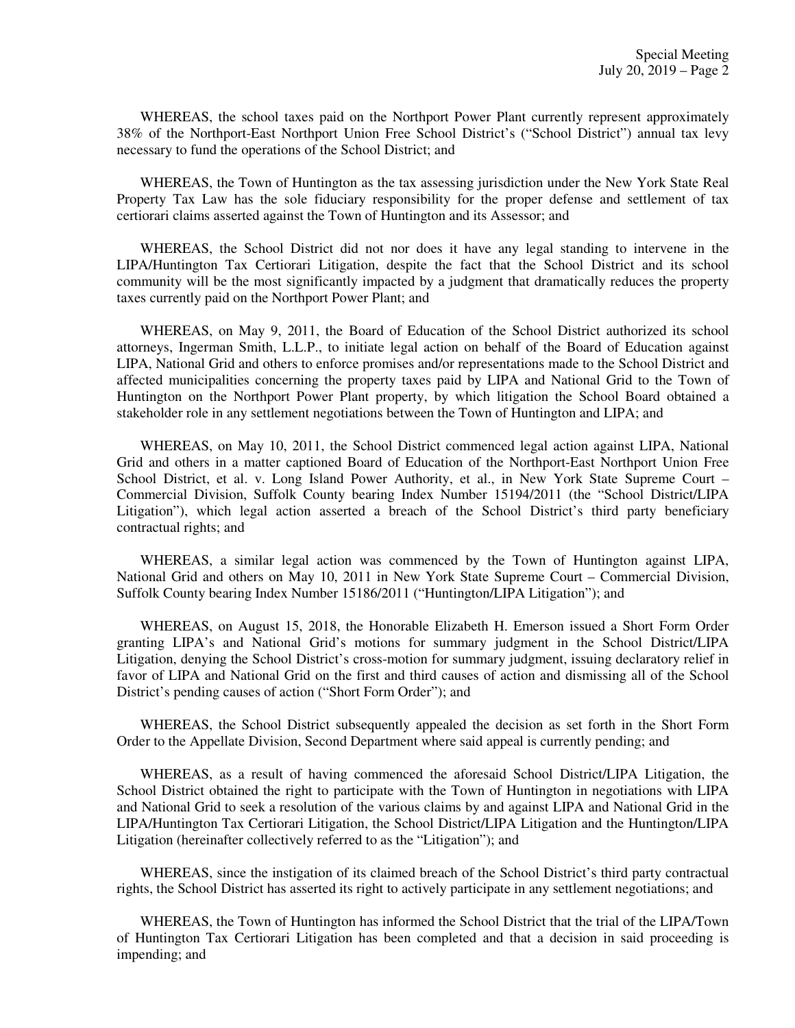WHEREAS, the school taxes paid on the Northport Power Plant currently represent approximately 38% of the Northport-East Northport Union Free School District's ("School District") annual tax levy necessary to fund the operations of the School District; and

WHEREAS, the Town of Huntington as the tax assessing jurisdiction under the New York State Real Property Tax Law has the sole fiduciary responsibility for the proper defense and settlement of tax certiorari claims asserted against the Town of Huntington and its Assessor; and

WHEREAS, the School District did not nor does it have any legal standing to intervene in the LIPA/Huntington Tax Certiorari Litigation, despite the fact that the School District and its school community will be the most significantly impacted by a judgment that dramatically reduces the property taxes currently paid on the Northport Power Plant; and

WHEREAS, on May 9, 2011, the Board of Education of the School District authorized its school attorneys, Ingerman Smith, L.L.P., to initiate legal action on behalf of the Board of Education against LIPA, National Grid and others to enforce promises and/or representations made to the School District and affected municipalities concerning the property taxes paid by LIPA and National Grid to the Town of Huntington on the Northport Power Plant property, by which litigation the School Board obtained a stakeholder role in any settlement negotiations between the Town of Huntington and LIPA; and

WHEREAS, on May 10, 2011, the School District commenced legal action against LIPA, National Grid and others in a matter captioned Board of Education of the Northport-East Northport Union Free School District, et al. v. Long Island Power Authority, et al., in New York State Supreme Court – Commercial Division, Suffolk County bearing Index Number 15194/2011 (the "School District/LIPA Litigation"), which legal action asserted a breach of the School District's third party beneficiary contractual rights; and

WHEREAS, a similar legal action was commenced by the Town of Huntington against LIPA, National Grid and others on May 10, 2011 in New York State Supreme Court – Commercial Division, Suffolk County bearing Index Number 15186/2011 ("Huntington/LIPA Litigation"); and

WHEREAS, on August 15, 2018, the Honorable Elizabeth H. Emerson issued a Short Form Order granting LIPA's and National Grid's motions for summary judgment in the School District/LIPA Litigation, denying the School District's cross-motion for summary judgment, issuing declaratory relief in favor of LIPA and National Grid on the first and third causes of action and dismissing all of the School District's pending causes of action ("Short Form Order"); and

WHEREAS, the School District subsequently appealed the decision as set forth in the Short Form Order to the Appellate Division, Second Department where said appeal is currently pending; and

WHEREAS, as a result of having commenced the aforesaid School District/LIPA Litigation, the School District obtained the right to participate with the Town of Huntington in negotiations with LIPA and National Grid to seek a resolution of the various claims by and against LIPA and National Grid in the LIPA/Huntington Tax Certiorari Litigation, the School District/LIPA Litigation and the Huntington/LIPA Litigation (hereinafter collectively referred to as the "Litigation"); and

WHEREAS, since the instigation of its claimed breach of the School District's third party contractual rights, the School District has asserted its right to actively participate in any settlement negotiations; and

WHEREAS, the Town of Huntington has informed the School District that the trial of the LIPA/Town of Huntington Tax Certiorari Litigation has been completed and that a decision in said proceeding is impending; and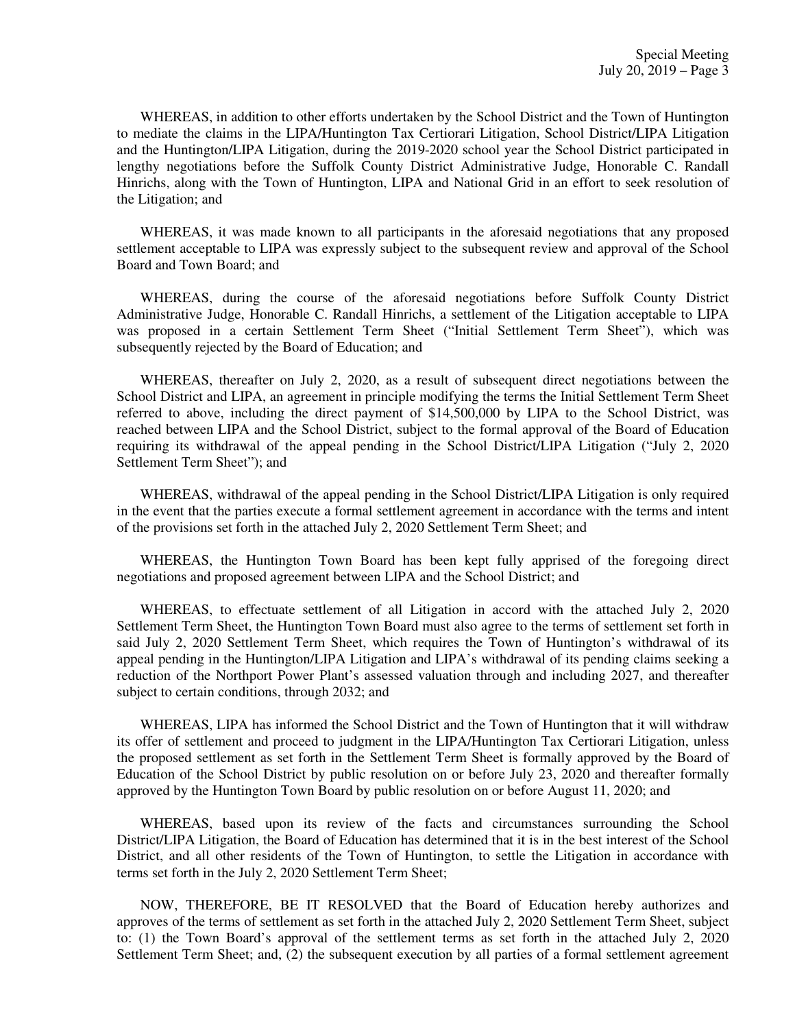WHEREAS, in addition to other efforts undertaken by the School District and the Town of Huntington to mediate the claims in the LIPA/Huntington Tax Certiorari Litigation, School District/LIPA Litigation and the Huntington/LIPA Litigation, during the 2019-2020 school year the School District participated in lengthy negotiations before the Suffolk County District Administrative Judge, Honorable C. Randall Hinrichs, along with the Town of Huntington, LIPA and National Grid in an effort to seek resolution of the Litigation; and

WHEREAS, it was made known to all participants in the aforesaid negotiations that any proposed settlement acceptable to LIPA was expressly subject to the subsequent review and approval of the School Board and Town Board; and

WHEREAS, during the course of the aforesaid negotiations before Suffolk County District Administrative Judge, Honorable C. Randall Hinrichs, a settlement of the Litigation acceptable to LIPA was proposed in a certain Settlement Term Sheet ("Initial Settlement Term Sheet"), which was subsequently rejected by the Board of Education; and

WHEREAS, thereafter on July 2, 2020, as a result of subsequent direct negotiations between the School District and LIPA, an agreement in principle modifying the terms the Initial Settlement Term Sheet referred to above, including the direct payment of \$14,500,000 by LIPA to the School District, was reached between LIPA and the School District, subject to the formal approval of the Board of Education requiring its withdrawal of the appeal pending in the School District/LIPA Litigation ("July 2, 2020 Settlement Term Sheet"); and

WHEREAS, withdrawal of the appeal pending in the School District/LIPA Litigation is only required in the event that the parties execute a formal settlement agreement in accordance with the terms and intent of the provisions set forth in the attached July 2, 2020 Settlement Term Sheet; and

WHEREAS, the Huntington Town Board has been kept fully apprised of the foregoing direct negotiations and proposed agreement between LIPA and the School District; and

WHEREAS, to effectuate settlement of all Litigation in accord with the attached July 2, 2020 Settlement Term Sheet, the Huntington Town Board must also agree to the terms of settlement set forth in said July 2, 2020 Settlement Term Sheet, which requires the Town of Huntington's withdrawal of its appeal pending in the Huntington/LIPA Litigation and LIPA's withdrawal of its pending claims seeking a reduction of the Northport Power Plant's assessed valuation through and including 2027, and thereafter subject to certain conditions, through 2032; and

WHEREAS, LIPA has informed the School District and the Town of Huntington that it will withdraw its offer of settlement and proceed to judgment in the LIPA/Huntington Tax Certiorari Litigation, unless the proposed settlement as set forth in the Settlement Term Sheet is formally approved by the Board of Education of the School District by public resolution on or before July 23, 2020 and thereafter formally approved by the Huntington Town Board by public resolution on or before August 11, 2020; and

WHEREAS, based upon its review of the facts and circumstances surrounding the School District/LIPA Litigation, the Board of Education has determined that it is in the best interest of the School District, and all other residents of the Town of Huntington, to settle the Litigation in accordance with terms set forth in the July 2, 2020 Settlement Term Sheet;

NOW, THEREFORE, BE IT RESOLVED that the Board of Education hereby authorizes and approves of the terms of settlement as set forth in the attached July 2, 2020 Settlement Term Sheet, subject to: (1) the Town Board's approval of the settlement terms as set forth in the attached July 2, 2020 Settlement Term Sheet; and, (2) the subsequent execution by all parties of a formal settlement agreement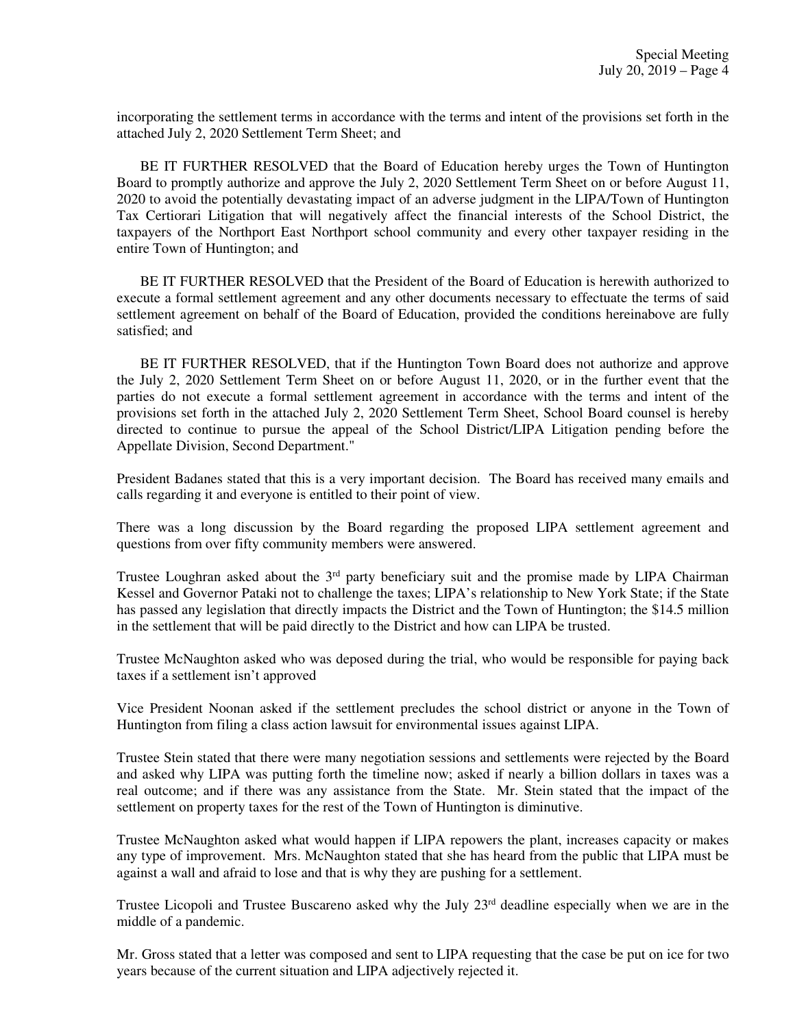incorporating the settlement terms in accordance with the terms and intent of the provisions set forth in the attached July 2, 2020 Settlement Term Sheet; and

BE IT FURTHER RESOLVED that the Board of Education hereby urges the Town of Huntington Board to promptly authorize and approve the July 2, 2020 Settlement Term Sheet on or before August 11, 2020 to avoid the potentially devastating impact of an adverse judgment in the LIPA/Town of Huntington Tax Certiorari Litigation that will negatively affect the financial interests of the School District, the taxpayers of the Northport East Northport school community and every other taxpayer residing in the entire Town of Huntington; and

BE IT FURTHER RESOLVED that the President of the Board of Education is herewith authorized to execute a formal settlement agreement and any other documents necessary to effectuate the terms of said settlement agreement on behalf of the Board of Education, provided the conditions hereinabove are fully satisfied; and

BE IT FURTHER RESOLVED, that if the Huntington Town Board does not authorize and approve the July 2, 2020 Settlement Term Sheet on or before August 11, 2020, or in the further event that the parties do not execute a formal settlement agreement in accordance with the terms and intent of the provisions set forth in the attached July 2, 2020 Settlement Term Sheet, School Board counsel is hereby directed to continue to pursue the appeal of the School District/LIPA Litigation pending before the Appellate Division, Second Department."

President Badanes stated that this is a very important decision. The Board has received many emails and calls regarding it and everyone is entitled to their point of view.

There was a long discussion by the Board regarding the proposed LIPA settlement agreement and questions from over fifty community members were answered.

Trustee Loughran asked about the  $3<sup>rd</sup>$  party beneficiary suit and the promise made by LIPA Chairman Kessel and Governor Pataki not to challenge the taxes; LIPA's relationship to New York State; if the State has passed any legislation that directly impacts the District and the Town of Huntington; the \$14.5 million in the settlement that will be paid directly to the District and how can LIPA be trusted.

Trustee McNaughton asked who was deposed during the trial, who would be responsible for paying back taxes if a settlement isn't approved

Vice President Noonan asked if the settlement precludes the school district or anyone in the Town of Huntington from filing a class action lawsuit for environmental issues against LIPA.

Trustee Stein stated that there were many negotiation sessions and settlements were rejected by the Board and asked why LIPA was putting forth the timeline now; asked if nearly a billion dollars in taxes was a real outcome; and if there was any assistance from the State. Mr. Stein stated that the impact of the settlement on property taxes for the rest of the Town of Huntington is diminutive.

Trustee McNaughton asked what would happen if LIPA repowers the plant, increases capacity or makes any type of improvement. Mrs. McNaughton stated that she has heard from the public that LIPA must be against a wall and afraid to lose and that is why they are pushing for a settlement.

Trustee Licopoli and Trustee Buscareno asked why the July 23<sup>rd</sup> deadline especially when we are in the middle of a pandemic.

Mr. Gross stated that a letter was composed and sent to LIPA requesting that the case be put on ice for two years because of the current situation and LIPA adjectively rejected it.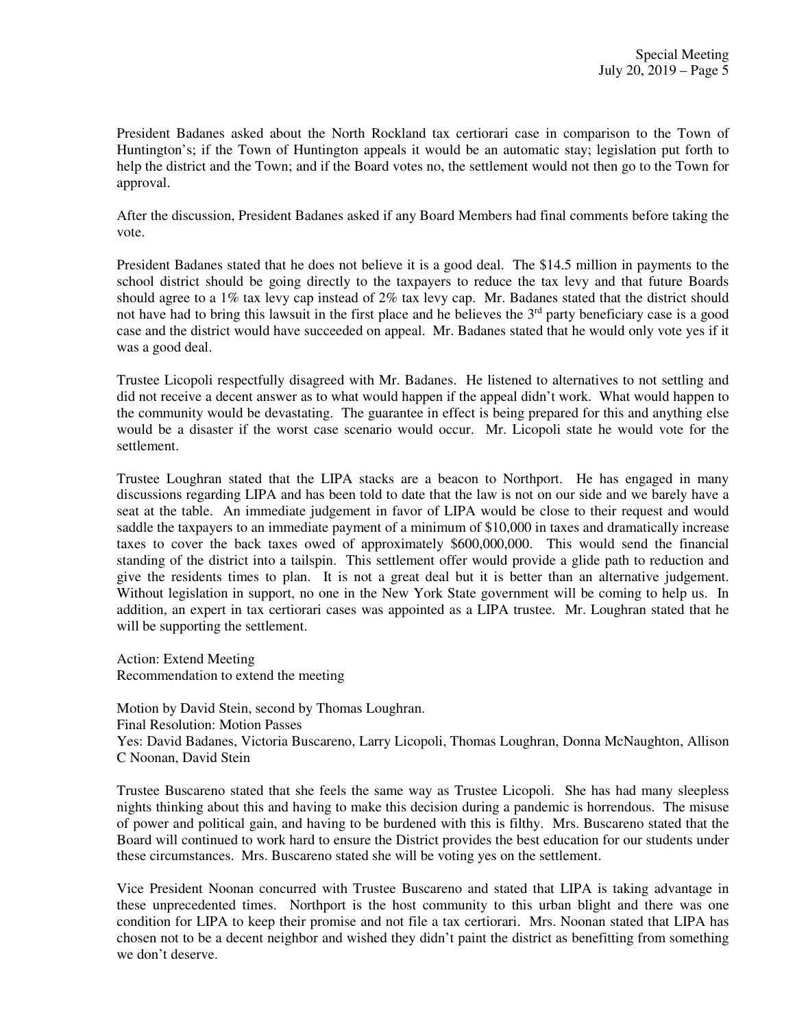President Badanes asked about the North Rockland tax certiorari case in comparison to the Town of Huntington's; if the Town of Huntington appeals it would be an automatic stay; legislation put forth to help the district and the Town; and if the Board votes no, the settlement would not then go to the Town for approval.

After the discussion, President Badanes asked if any Board Members had final comments before taking the vote.

President Badanes stated that he does not believe it is a good deal. The \$14.5 million in payments to the school district should be going directly to the taxpayers to reduce the tax levy and that future Boards should agree to a 1% tax levy cap instead of 2% tax levy cap. Mr. Badanes stated that the district should not have had to bring this lawsuit in the first place and he believes the 3<sup>rd</sup> party beneficiary case is a good case and the district would have succeeded on appeal. Mr. Badanes stated that he would only vote yes if it was a good deal.

Trustee Licopoli respectfully disagreed with Mr. Badanes. He listened to alternatives to not settling and did not receive a decent answer as to what would happen if the appeal didn't work. What would happen to the community would be devastating. The guarantee in effect is being prepared for this and anything else would be a disaster if the worst case scenario would occur. Mr. Licopoli state he would vote for the settlement.

Trustee Loughran stated that the LIPA stacks are a beacon to Northport. He has engaged in many discussions regarding LIPA and has been told to date that the law is not on our side and we barely have a seat at the table. An immediate judgement in favor of LIPA would be close to their request and would saddle the taxpayers to an immediate payment of a minimum of \$10,000 in taxes and dramatically increase taxes to cover the back taxes owed of approximately \$600,000,000. This would send the financial standing of the district into a tailspin. This settlement offer would provide a glide path to reduction and give the residents times to plan. It is not a great deal but it is better than an alternative judgement. Without legislation in support, no one in the New York State government will be coming to help us. In addition, an expert in tax certiorari cases was appointed as a LIPA trustee. Mr. Loughran stated that he will be supporting the settlement.

Action: Extend Meeting Recommendation to extend the meeting

Motion by David Stein, second by Thomas Loughran. Final Resolution: Motion Passes Yes: David Badanes, Victoria Buscareno, Larry Licopoli, Thomas Loughran, Donna McNaughton, Allison C Noonan, David Stein

Trustee Buscareno stated that she feels the same way as Trustee Licopoli. She has had many sleepless nights thinking about this and having to make this decision during a pandemic is horrendous. The misuse of power and political gain, and having to be burdened with this is filthy. Mrs. Buscareno stated that the Board will continued to work hard to ensure the District provides the best education for our students under these circumstances. Mrs. Buscareno stated she will be voting yes on the settlement.

Vice President Noonan concurred with Trustee Buscareno and stated that LIPA is taking advantage in these unprecedented times. Northport is the host community to this urban blight and there was one condition for LIPA to keep their promise and not file a tax certiorari. Mrs. Noonan stated that LIPA has chosen not to be a decent neighbor and wished they didn't paint the district as benefitting from something we don't deserve.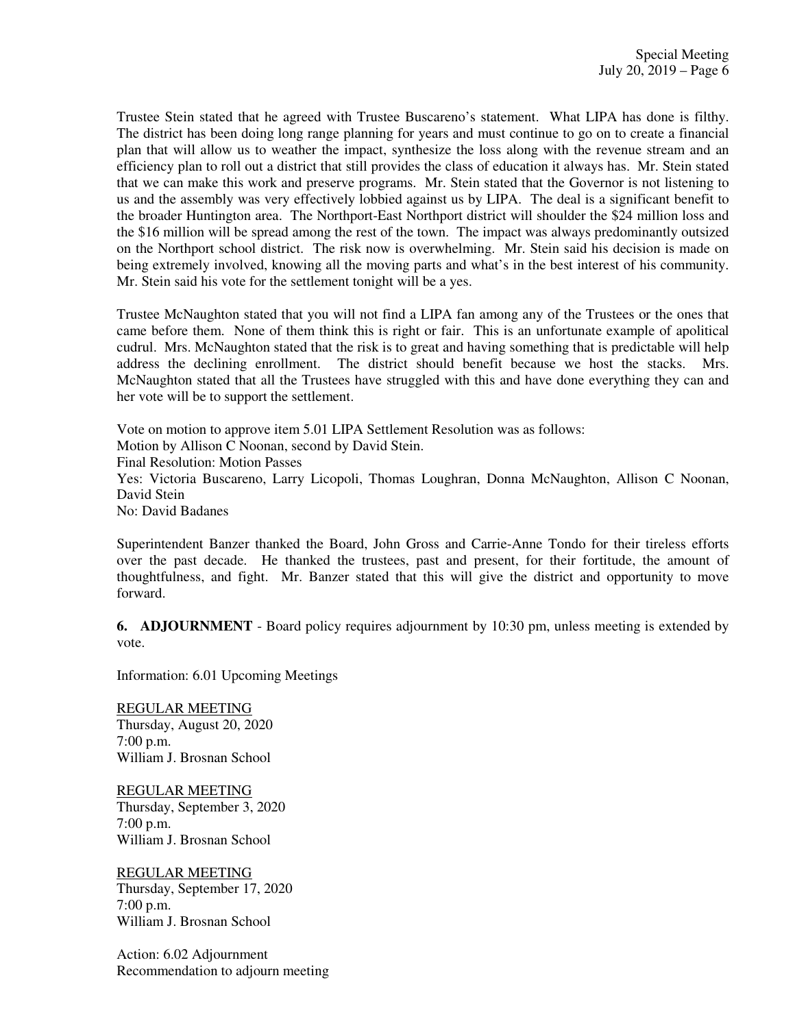Trustee Stein stated that he agreed with Trustee Buscareno's statement. What LIPA has done is filthy. The district has been doing long range planning for years and must continue to go on to create a financial plan that will allow us to weather the impact, synthesize the loss along with the revenue stream and an efficiency plan to roll out a district that still provides the class of education it always has. Mr. Stein stated that we can make this work and preserve programs. Mr. Stein stated that the Governor is not listening to us and the assembly was very effectively lobbied against us by LIPA. The deal is a significant benefit to the broader Huntington area. The Northport-East Northport district will shoulder the \$24 million loss and the \$16 million will be spread among the rest of the town. The impact was always predominantly outsized on the Northport school district. The risk now is overwhelming. Mr. Stein said his decision is made on being extremely involved, knowing all the moving parts and what's in the best interest of his community. Mr. Stein said his vote for the settlement tonight will be a yes.

Trustee McNaughton stated that you will not find a LIPA fan among any of the Trustees or the ones that came before them. None of them think this is right or fair. This is an unfortunate example of apolitical cudrul. Mrs. McNaughton stated that the risk is to great and having something that is predictable will help address the declining enrollment. The district should benefit because we host the stacks. Mrs. McNaughton stated that all the Trustees have struggled with this and have done everything they can and her vote will be to support the settlement.

Vote on motion to approve item 5.01 LIPA Settlement Resolution was as follows: Motion by Allison C Noonan, second by David Stein. Final Resolution: Motion Passes Yes: Victoria Buscareno, Larry Licopoli, Thomas Loughran, Donna McNaughton, Allison C Noonan, David Stein No: David Badanes

Superintendent Banzer thanked the Board, John Gross and Carrie-Anne Tondo for their tireless efforts over the past decade. He thanked the trustees, past and present, for their fortitude, the amount of thoughtfulness, and fight. Mr. Banzer stated that this will give the district and opportunity to move forward.

**6. ADJOURNMENT** - Board policy requires adjournment by 10:30 pm, unless meeting is extended by vote.

Information: 6.01 Upcoming Meetings

REGULAR MEETING Thursday, August 20, 2020 7:00 p.m. William J. Brosnan School

REGULAR MEETING Thursday, September 3, 2020 7:00 p.m. William J. Brosnan School

REGULAR MEETING Thursday, September 17, 2020 7:00 p.m. William J. Brosnan School

Action: 6.02 Adjournment Recommendation to adjourn meeting